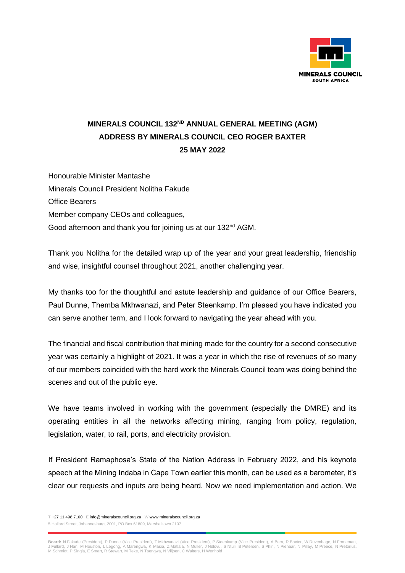

## **MINERALS COUNCIL 132ND ANNUAL GENERAL MEETING (AGM) ADDRESS BY MINERALS COUNCIL CEO ROGER BAXTER 25 MAY 2022**

Honourable Minister Mantashe Minerals Council President Nolitha Fakude Office Bearers Member company CEOs and colleagues, Good afternoon and thank you for joining us at our 132<sup>nd</sup> AGM.

Thank you Nolitha for the detailed wrap up of the year and your great leadership, friendship and wise, insightful counsel throughout 2021, another challenging year.

My thanks too for the thoughtful and astute leadership and guidance of our Office Bearers, Paul Dunne, Themba Mkhwanazi, and Peter Steenkamp. I'm pleased you have indicated you can serve another term, and I look forward to navigating the year ahead with you.

The financial and fiscal contribution that mining made for the country for a second consecutive year was certainly a highlight of 2021. It was a year in which the rise of revenues of so many of our members coincided with the hard work the Minerals Council team was doing behind the scenes and out of the public eye.

We have teams involved in working with the government (especially the DMRE) and its operating entities in all the networks affecting mining, ranging from policy, regulation, legislation, water, to rail, ports, and electricity provision.

If President Ramaphosa's State of the Nation Address in February 2022, and his keynote speech at the Mining Indaba in Cape Town earlier this month, can be used as a barometer, it's clear our requests and inputs are being heard. Now we need implementation and action. We

T +27 11 498 7100 E info@mineralscouncil.org.za W www.mineralscouncil.org.za 5 Hollard Street, Johannesburg, 2001, PO Box 61809, Marshalltown 2107

**Board:** N Fakude (President), P Dunne (Vice President), T Mkhwanazi (Vice President), P Steenkamp (Vice President), A Bam, R Baxter, W Duvenhage, N Froneman,<br>J Fullard, J Han, M Houston, L Legong, A Marengwa, K Masia, Z M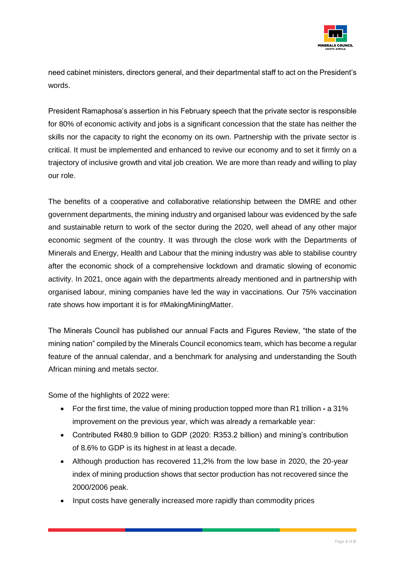

need cabinet ministers, directors general, and their departmental staff to act on the President's words.

President Ramaphosa's assertion in his February speech that the private sector is responsible for 80% of economic activity and jobs is a significant concession that the state has neither the skills nor the capacity to right the economy on its own. Partnership with the private sector is critical. It must be implemented and enhanced to revive our economy and to set it firmly on a trajectory of inclusive growth and vital job creation. We are more than ready and willing to play our role.

The benefits of a cooperative and collaborative relationship between the DMRE and other government departments, the mining industry and organised labour was evidenced by the safe and sustainable return to work of the sector during the 2020, well ahead of any other major economic segment of the country. It was through the close work with the Departments of Minerals and Energy, Health and Labour that the mining industry was able to stabilise country after the economic shock of a comprehensive lockdown and dramatic slowing of economic activity. In 2021, once again with the departments already mentioned and in partnership with organised labour, mining companies have led the way in vaccinations. Our 75% vaccination rate shows how important it is for #MakingMiningMatter.

The Minerals Council has published our annual Facts and Figures Review, "the state of the mining nation" compiled by the Minerals Council economics team, which has become a regular feature of the annual calendar, and a benchmark for analysing and understanding the South African mining and metals sector.

Some of the highlights of 2022 were:

- For the first time, the value of mining production topped more than R1 trillion **-** a 31% improvement on the previous year, which was already a remarkable year:
- Contributed R480.9 billion to GDP (2020: R353.2 billion) and mining's contribution of 8.6% to GDP is its highest in at least a decade.
- Although production has recovered 11,2% from the low base in 2020, the 20-year index of mining production shows that sector production has not recovered since the 2000/2006 peak.
- Input costs have generally increased more rapidly than commodity prices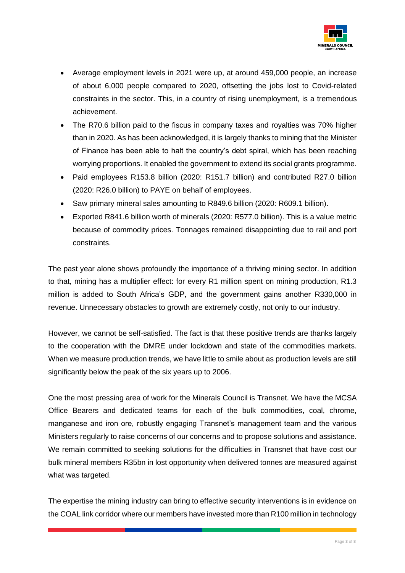

- Average employment levels in 2021 were up, at around 459,000 people, an increase of about 6,000 people compared to 2020, offsetting the jobs lost to Covid-related constraints in the sector. This, in a country of rising unemployment, is a tremendous achievement.
- The R70.6 billion paid to the fiscus in company taxes and royalties was 70% higher than in 2020. As has been acknowledged, it is largely thanks to mining that the Minister of Finance has been able to halt the country's debt spiral, which has been reaching worrying proportions. It enabled the government to extend its social grants programme.
- Paid employees R153.8 billion (2020: R151.7 billion) and contributed R27.0 billion (2020: R26.0 billion) to PAYE on behalf of employees.
- Saw primary mineral sales amounting to R849.6 billion (2020: R609.1 billion).
- Exported R841.6 billion worth of minerals (2020: R577.0 billion). This is a value metric because of commodity prices. Tonnages remained disappointing due to rail and port constraints.

The past year alone shows profoundly the importance of a thriving mining sector. In addition to that, mining has a multiplier effect: for every R1 million spent on mining production, R1.3 million is added to South Africa's GDP, and the government gains another R330,000 in revenue. Unnecessary obstacles to growth are extremely costly, not only to our industry.

However, we cannot be self-satisfied. The fact is that these positive trends are thanks largely to the cooperation with the DMRE under lockdown and state of the commodities markets. When we measure production trends, we have little to smile about as production levels are still significantly below the peak of the six years up to 2006.

One the most pressing area of work for the Minerals Council is Transnet. We have the MCSA Office Bearers and dedicated teams for each of the bulk commodities, coal, chrome, manganese and iron ore, robustly engaging Transnet's management team and the various Ministers regularly to raise concerns of our concerns and to propose solutions and assistance. We remain committed to seeking solutions for the difficulties in Transnet that have cost our bulk mineral members R35bn in lost opportunity when delivered tonnes are measured against what was targeted.

The expertise the mining industry can bring to effective security interventions is in evidence on the COAL link corridor where our members have invested more than R100 million in technology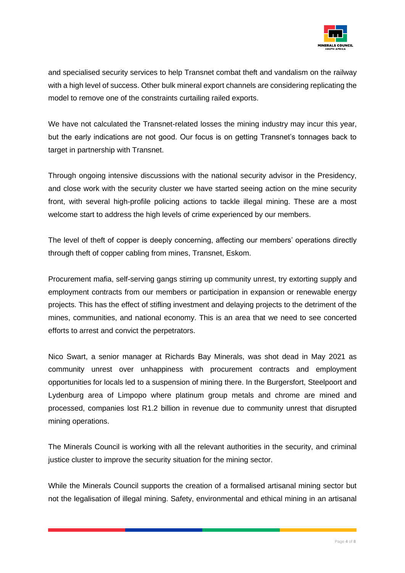

and specialised security services to help Transnet combat theft and vandalism on the railway with a high level of success. Other bulk mineral export channels are considering replicating the model to remove one of the constraints curtailing railed exports.

We have not calculated the Transnet-related losses the mining industry may incur this year, but the early indications are not good. Our focus is on getting Transnet's tonnages back to target in partnership with Transnet.

Through ongoing intensive discussions with the national security advisor in the Presidency, and close work with the security cluster we have started seeing action on the mine security front, with several high-profile policing actions to tackle illegal mining. These are a most welcome start to address the high levels of crime experienced by our members.

The level of theft of copper is deeply concerning, affecting our members' operations directly through theft of copper cabling from mines, Transnet, Eskom.

Procurement mafia, self-serving gangs stirring up community unrest, try extorting supply and employment contracts from our members or participation in expansion or renewable energy projects. This has the effect of stifling investment and delaying projects to the detriment of the mines, communities, and national economy. This is an area that we need to see concerted efforts to arrest and convict the perpetrators.

Nico Swart, a senior manager at Richards Bay Minerals, was shot dead in May 2021 as community unrest over unhappiness with procurement contracts and employment opportunities for locals led to a suspension of mining there. In the Burgersfort, Steelpoort and Lydenburg area of Limpopo where platinum group metals and chrome are mined and processed, companies lost R1.2 billion in revenue due to community unrest that disrupted mining operations.

The Minerals Council is working with all the relevant authorities in the security, and criminal justice cluster to improve the security situation for the mining sector.

While the Minerals Council supports the creation of a formalised artisanal mining sector but not the legalisation of illegal mining. Safety, environmental and ethical mining in an artisanal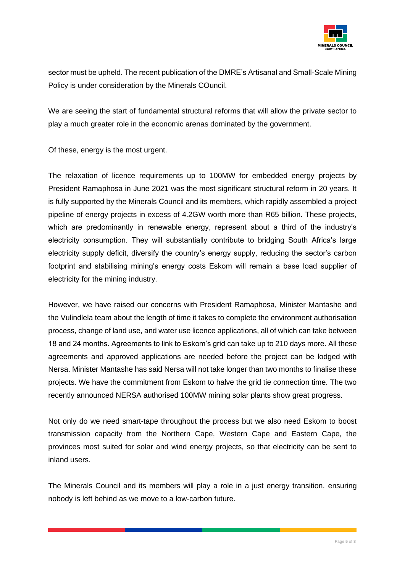

sector must be upheld. The recent publication of the DMRE's Artisanal and Small-Scale Mining Policy is under consideration by the Minerals COuncil.

We are seeing the start of fundamental structural reforms that will allow the private sector to play a much greater role in the economic arenas dominated by the government.

Of these, energy is the most urgent.

The relaxation of licence requirements up to 100MW for embedded energy projects by President Ramaphosa in June 2021 was the most significant structural reform in 20 years. It is fully supported by the Minerals Council and its members, which rapidly assembled a project pipeline of energy projects in excess of 4.2GW worth more than R65 billion. These projects, which are predominantly in renewable energy, represent about a third of the industry's electricity consumption. They will substantially contribute to bridging South Africa's large electricity supply deficit, diversify the country's energy supply, reducing the sector's carbon footprint and stabilising mining's energy costs Eskom will remain a base load supplier of electricity for the mining industry.

However, we have raised our concerns with President Ramaphosa, Minister Mantashe and the Vulindlela team about the length of time it takes to complete the environment authorisation process, change of land use, and water use licence applications, all of which can take between 18 and 24 months. Agreements to link to Eskom's grid can take up to 210 days more. All these agreements and approved applications are needed before the project can be lodged with Nersa. Minister Mantashe has said Nersa will not take longer than two months to finalise these projects. We have the commitment from Eskom to halve the grid tie connection time. The two recently announced NERSA authorised 100MW mining solar plants show great progress.

Not only do we need smart-tape throughout the process but we also need Eskom to boost transmission capacity from the Northern Cape, Western Cape and Eastern Cape, the provinces most suited for solar and wind energy projects, so that electricity can be sent to inland users.

The Minerals Council and its members will play a role in a just energy transition, ensuring nobody is left behind as we move to a low-carbon future.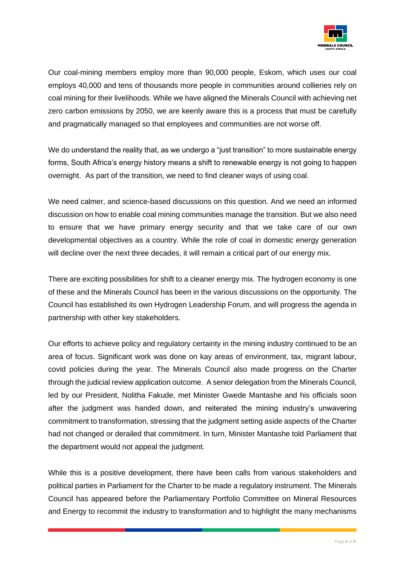

Our coal-mining members employ more than 90,000 people, Eskom, which uses our coal employs 40,000 and tens of thousands more people in communities around collieries rely on coal mining for their livelihoods. While we have aligned the Minerals Council with achieving net zero carbon emissions by 2050, we are keenly aware this is a process that must be carefully and pragmatically managed so that employees and communities are not worse off.

We do understand the reality that, as we undergo a "just transition" to more sustainable energy forms, South Africa's energy history means a shift to renewable energy is not going to happen overnight. As part of the transition, we need to find cleaner ways of using coal.

We need calmer, and science-based discussions on this question. And we need an informed discussion on how to enable coal mining communities manage the transition. But we also need to ensure that we have primary energy security and that we take care of our own developmental objectives as a country. While the role of coal in domestic energy generation will decline over the next three decades, it will remain a critical part of our energy mix.

There are exciting possibilities for shift to a cleaner energy mix. The hydrogen economy is one of these and the Minerals Council has been in the various discussions on the opportunity. The Council has established its own Hydrogen Leadership Forum, and will progress the agenda in partnership with other key stakeholders.

Our efforts to achieve policy and regulatory certainty in the mining industry continued to be an area of focus. Significant work was done on kay areas of environment, tax, migrant labour, covid policies during the year. The Minerals Council also made progress on the Charter through the judicial review application outcome. A senior delegation from the Minerals Council, led by our President, Nolitha Fakude, met Minister Gwede Mantashe and his officials soon after the judgment was handed down, and reiterated the mining industry's unwavering commitment to transformation, stressing that the judgment setting aside aspects of the Charter had not changed or derailed that commitment. In turn, Minister Mantashe told Parliament that the department would not appeal the judgment.

While this is a positive development, there have been calls from various stakeholders and political parties in Parliament for the Charter to be made a regulatory instrument. The Minerals Council has appeared before the Parliamentary Portfolio Committee on Mineral Resources and Energy to recommit the industry to transformation and to highlight the many mechanisms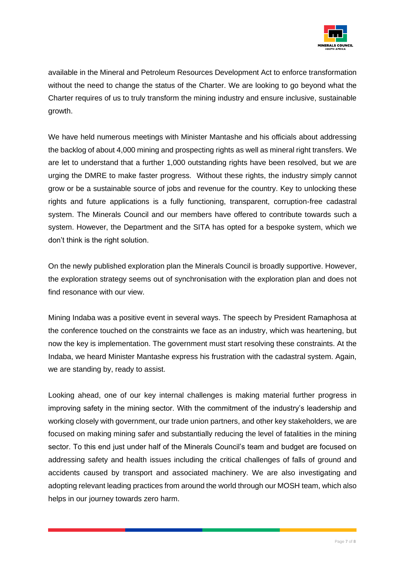

available in the Mineral and Petroleum Resources Development Act to enforce transformation without the need to change the status of the Charter. We are looking to go beyond what the Charter requires of us to truly transform the mining industry and ensure inclusive, sustainable growth.

We have held numerous meetings with Minister Mantashe and his officials about addressing the backlog of about 4,000 mining and prospecting rights as well as mineral right transfers. We are let to understand that a further 1,000 outstanding rights have been resolved, but we are urging the DMRE to make faster progress. Without these rights, the industry simply cannot grow or be a sustainable source of jobs and revenue for the country. Key to unlocking these rights and future applications is a fully functioning, transparent, corruption-free cadastral system. The Minerals Council and our members have offered to contribute towards such a system. However, the Department and the SITA has opted for a bespoke system, which we don't think is the right solution.

On the newly published exploration plan the Minerals Council is broadly supportive. However, the exploration strategy seems out of synchronisation with the exploration plan and does not find resonance with our view.

Mining Indaba was a positive event in several ways. The speech by President Ramaphosa at the conference touched on the constraints we face as an industry, which was heartening, but now the key is implementation. The government must start resolving these constraints. At the Indaba, we heard Minister Mantashe express his frustration with the cadastral system. Again, we are standing by, ready to assist.

Looking ahead, one of our key internal challenges is making material further progress in improving safety in the mining sector. With the commitment of the industry's leadership and working closely with government, our trade union partners, and other key stakeholders, we are focused on making mining safer and substantially reducing the level of fatalities in the mining sector. To this end just under half of the Minerals Council's team and budget are focused on addressing safety and health issues including the critical challenges of falls of ground and accidents caused by transport and associated machinery. We are also investigating and adopting relevant leading practices from around the world through our MOSH team, which also helps in our journey towards zero harm.